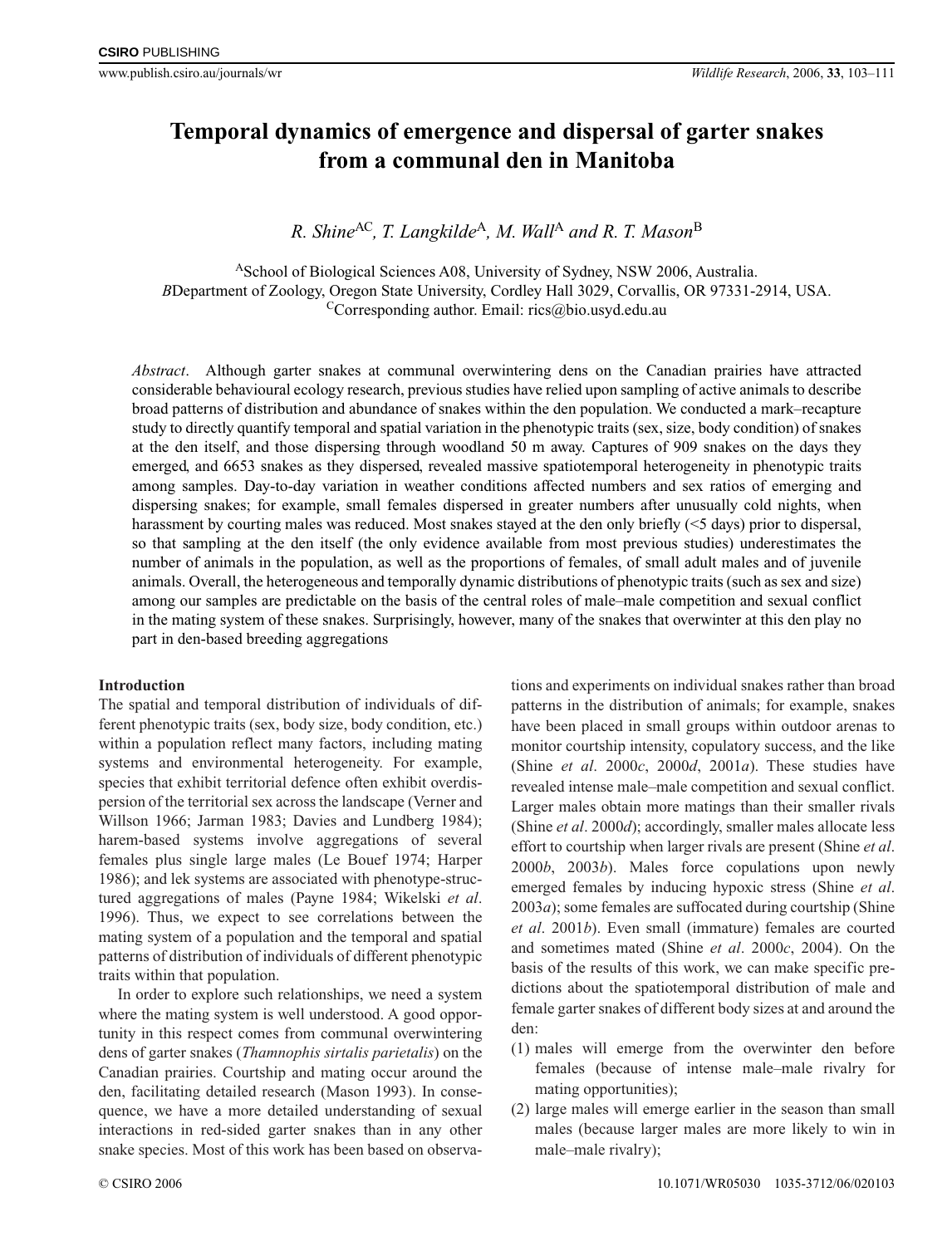# **Temporal dynamics of emergence and dispersal of garter snakes from a communal den in Manitoba**

*R. Shine*<sup>AC</sup>, *T. Langkilde<sup>A</sup>*, *M. Wall<sup>A</sup> and R. T. Mason*<sup>B</sup>

ASchool of Biological Sciences A08, University of Sydney, NSW 2006, Australia. *B*Department of Zoology, Oregon State University, Cordley Hall 3029, Corvallis, OR 97331-2914, USA.  ${}^{\text{C}}$ Corresponding author. Email: rics@bio.usyd.edu.au

*Abstract*. Although garter snakes at communal overwintering dens on the Canadian prairies have attracted considerable behavioural ecology research, previous studies have relied upon sampling of active animals to describe broad patterns of distribution and abundance of snakes within the den population. We conducted a mark–recapture study to directly quantify temporal and spatial variation in the phenotypic traits (sex, size, body condition) of snakes at the den itself, and those dispersing through woodland 50 m away. Captures of 909 snakes on the days they emerged, and 6653 snakes as they dispersed, revealed massive spatiotemporal heterogeneity in phenotypic traits among samples. Day-to-day variation in weather conditions affected numbers and sex ratios of emerging and dispersing snakes; for example, small females dispersed in greater numbers after unusually cold nights, when harassment by courting males was reduced. Most snakes stayed at the den only briefly (<5 days) prior to dispersal, so that sampling at the den itself (the only evidence available from most previous studies) underestimates the number of animals in the population, as well as the proportions of females, of small adult males and of juvenile animals. Overall, the heterogeneous and temporally dynamic distributions of phenotypic traits (such as sex and size) among our samples are predictable on the basis of the central roles of male–male competition and sexual conflict in the mating system of these snakes. Surprisingly, however, many of the snakes that overwinter at this den play no part in den-based breeding aggregations

# **Introduction**

The spatial and temporal distribution of individuals of different phenotypic traits (sex, body size, body condition, etc.) within a population reflect many factors, including mating systems and environmental heterogeneity. For example, species that exhibit territorial defence often exhibit overdispersion of the territorial sex across the landscape (Verner and Willson 1966; Jarman 1983; Davies and Lundberg 1984); harem-based systems involve aggregations of several females plus single large males (Le Bouef 1974; Harper 1986); and lek systems are associated with phenotype-structured aggregations of males (Payne 1984; Wikelski *et al*. 1996). Thus, we expect to see correlations between the mating system of a population and the temporal and spatial patterns of distribution of individuals of different phenotypic traits within that population.

In order to explore such relationships, we need a system where the mating system is well understood. A good opportunity in this respect comes from communal overwintering dens of garter snakes (*Thamnophis sirtalis parietalis*) on the Canadian prairies. Courtship and mating occur around the den, facilitating detailed research (Mason 1993). In consequence, we have a more detailed understanding of sexual interactions in red-sided garter snakes than in any other snake species. Most of this work has been based on observa-

tions and experiments on individual snakes rather than broad patterns in the distribution of animals; for example, snakes have been placed in small groups within outdoor arenas to monitor courtship intensity, copulatory success, and the like (Shine *et al*. 2000*c*, 2000*d*, 2001*a*). These studies have revealed intense male–male competition and sexual conflict. Larger males obtain more matings than their smaller rivals (Shine *et al*. 2000*d*); accordingly, smaller males allocate less effort to courtship when larger rivals are present (Shine *et al*. 2000*b*, 2003*b*). Males force copulations upon newly emerged females by inducing hypoxic stress (Shine *et al*. 2003*a*); some females are suffocated during courtship (Shine *et al*. 2001*b*). Even small (immature) females are courted and sometimes mated (Shine *et al*. 2000*c*, 2004). On the basis of the results of this work, we can make specific predictions about the spatiotemporal distribution of male and female garter snakes of different body sizes at and around the den:

- (1) males will emerge from the overwinter den before females (because of intense male–male rivalry for mating opportunities);
- (2) large males will emerge earlier in the season than small males (because larger males are more likely to win in male–male rivalry);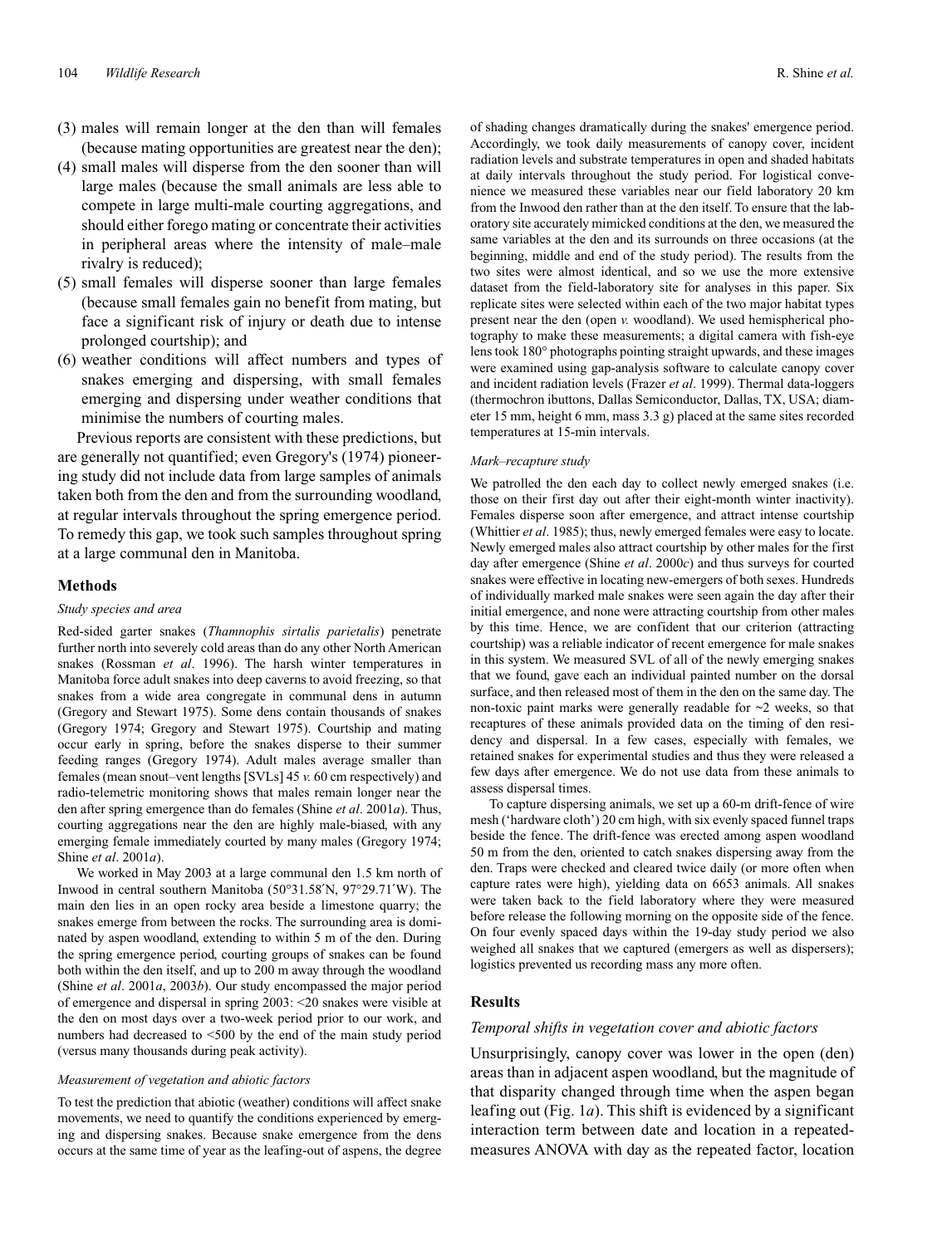- (3) males will remain longer at the den than will females (because mating opportunities are greatest near the den);
- (4) small males will disperse from the den sooner than will large males (because the small animals are less able to compete in large multi-male courting aggregations, and should either forego mating or concentrate their activities in peripheral areas where the intensity of male–male rivalry is reduced);
- (5) small females will disperse sooner than large females (because small females gain no benefit from mating, but face a significant risk of injury or death due to intense prolonged courtship); and
- (6) weather conditions will affect numbers and types of snakes emerging and dispersing, with small females emerging and dispersing under weather conditions that minimise the numbers of courting males.

Previous reports are consistent with these predictions, but are generally not quantified; even Gregory's (1974) pioneering study did not include data from large samples of animals taken both from the den and from the surrounding woodland, at regular intervals throughout the spring emergence period. To remedy this gap, we took such samples throughout spring at a large communal den in Manitoba.

#### **Methods**

#### *Study species and area*

Red-sided garter snakes (*Thamnophis sirtalis parietalis*) penetrate further north into severely cold areas than do any other North American snakes (Rossman *et al*. 1996). The harsh winter temperatures in Manitoba force adult snakes into deep caverns to avoid freezing, so that snakes from a wide area congregate in communal dens in autumn (Gregory and Stewart 1975). Some dens contain thousands of snakes (Gregory 1974; Gregory and Stewart 1975). Courtship and mating occur early in spring, before the snakes disperse to their summer feeding ranges (Gregory 1974). Adult males average smaller than females (mean snout–vent lengths [SVLs] 45 *v.* 60 cm respectively) and radio-telemetric monitoring shows that males remain longer near the den after spring emergence than do females (Shine *et al*. 2001*a*). Thus, courting aggregations near the den are highly male-biased, with any emerging female immediately courted by many males (Gregory 1974; Shine *et al*. 2001*a*).

We worked in May 2003 at a large communal den 1.5 km north of Inwood in central southern Manitoba (50°31.58′N, 97°29.71′W). The main den lies in an open rocky area beside a limestone quarry; the snakes emerge from between the rocks. The surrounding area is dominated by aspen woodland, extending to within 5 m of the den. During the spring emergence period, courting groups of snakes can be found both within the den itself, and up to 200 m away through the woodland (Shine *et al*. 2001*a*, 2003*b*). Our study encompassed the major period of emergence and dispersal in spring 2003: <20 snakes were visible at the den on most days over a two-week period prior to our work, and numbers had decreased to <500 by the end of the main study period (versus many thousands during peak activity).

#### *Measurement of vegetation and abiotic factors*

To test the prediction that abiotic (weather) conditions will affect snake movements, we need to quantify the conditions experienced by emerging and dispersing snakes. Because snake emergence from the dens occurs at the same time of year as the leafing-out of aspens, the degree

of shading changes dramatically during the snakes' emergence period. Accordingly, we took daily measurements of canopy cover, incident radiation levels and substrate temperatures in open and shaded habitats at daily intervals throughout the study period. For logistical convenience we measured these variables near our field laboratory 20 km from the Inwood den rather than at the den itself. To ensure that the laboratory site accurately mimicked conditions at the den, we measured the same variables at the den and its surrounds on three occasions (at the beginning, middle and end of the study period). The results from the two sites were almost identical, and so we use the more extensive dataset from the field-laboratory site for analyses in this paper. Six replicate sites were selected within each of the two major habitat types present near the den (open *v.* woodland). We used hemispherical photography to make these measurements; a digital camera with fish-eye lens took 180° photographs pointing straight upwards, and these images were examined using gap-analysis software to calculate canopy cover and incident radiation levels (Frazer *et al*. 1999). Thermal data-loggers (thermochron ibuttons, Dallas Semiconductor, Dallas, TX, USA; diameter 15 mm, height 6 mm, mass 3.3 g) placed at the same sites recorded temperatures at 15-min intervals.

#### *Mark–recapture study*

We patrolled the den each day to collect newly emerged snakes (i.e. those on their first day out after their eight-month winter inactivity). Females disperse soon after emergence, and attract intense courtship (Whittier *et al*. 1985); thus, newly emerged females were easy to locate. Newly emerged males also attract courtship by other males for the first day after emergence (Shine *et al*. 2000*c*) and thus surveys for courted snakes were effective in locating new-emergers of both sexes. Hundreds of individually marked male snakes were seen again the day after their initial emergence, and none were attracting courtship from other males by this time. Hence, we are confident that our criterion (attracting courtship) was a reliable indicator of recent emergence for male snakes in this system. We measured SVL of all of the newly emerging snakes that we found, gave each an individual painted number on the dorsal surface, and then released most of them in the den on the same day. The non-toxic paint marks were generally readable for  $\sim$ 2 weeks, so that recaptures of these animals provided data on the timing of den residency and dispersal. In a few cases, especially with females, we retained snakes for experimental studies and thus they were released a few days after emergence. We do not use data from these animals to assess dispersal times.

To capture dispersing animals, we set up a 60-m drift-fence of wire mesh ('hardware cloth') 20 cm high, with six evenly spaced funnel traps beside the fence. The drift-fence was erected among aspen woodland 50 m from the den, oriented to catch snakes dispersing away from the den. Traps were checked and cleared twice daily (or more often when capture rates were high), yielding data on 6653 animals. All snakes were taken back to the field laboratory where they were measured before release the following morning on the opposite side of the fence. On four evenly spaced days within the 19-day study period we also weighed all snakes that we captured (emergers as well as dispersers); logistics prevented us recording mass any more often.

# **Results**

## *Temporal shifts in vegetation cover and abiotic factors*

Unsurprisingly, canopy cover was lower in the open (den) areas than in adjacent aspen woodland, but the magnitude of that disparity changed through time when the aspen began leafing out (Fig. 1*a*). This shift is evidenced by a significant interaction term between date and location in a repeatedmeasures ANOVA with day as the repeated factor, location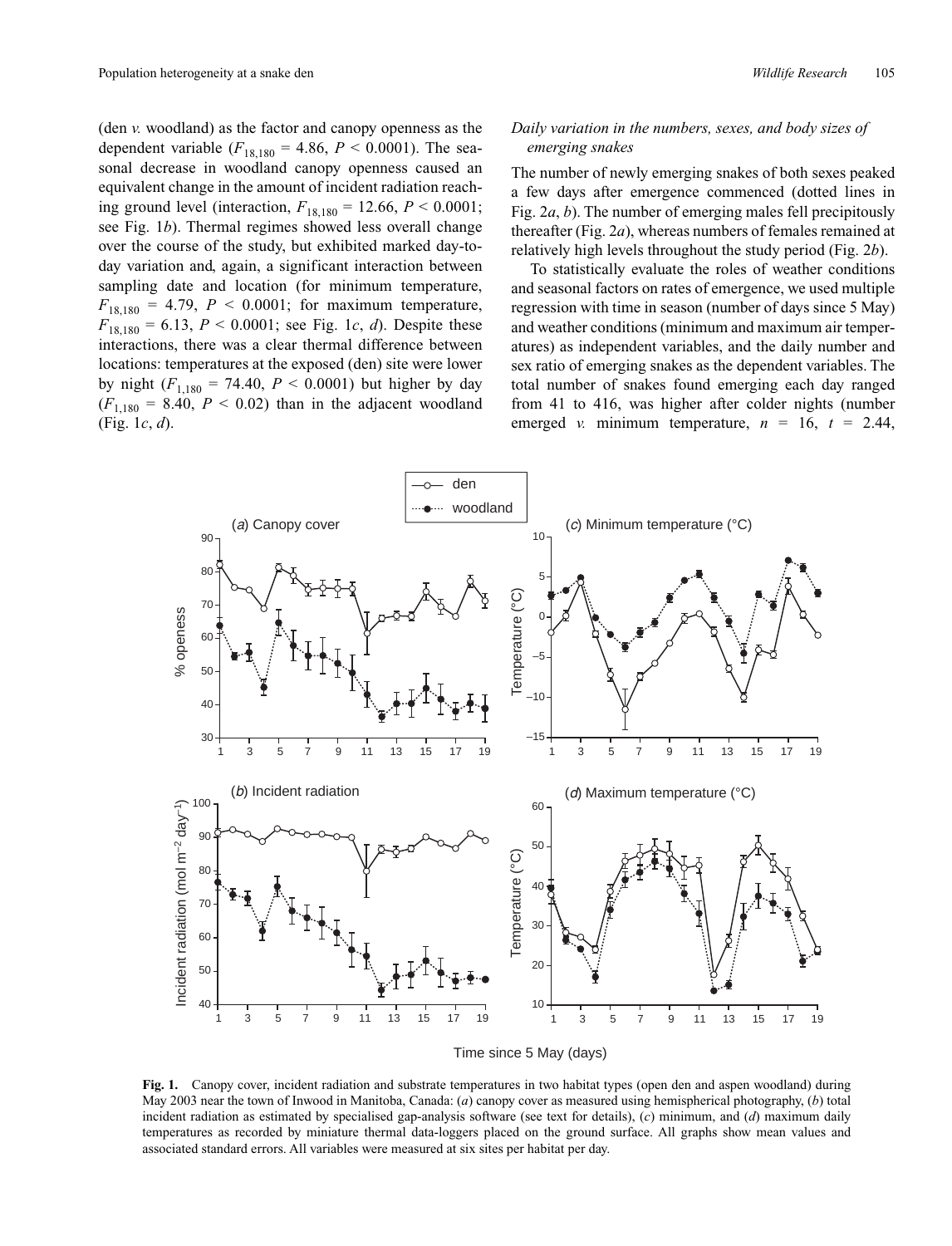(den *v.* woodland) as the factor and canopy openness as the dependent variable  $(F_{18,180} = 4.86, P \le 0.0001)$ . The seasonal decrease in woodland canopy openness caused an equivalent change in the amount of incident radiation reaching ground level (interaction,  $F_{18,180} = 12.66$ ,  $P < 0.0001$ ; see Fig. 1*b*). Thermal regimes showed less overall change over the course of the study, but exhibited marked day-today variation and, again, a significant interaction between sampling date and location (for minimum temperature,  $F_{18,180} = 4.79, P < 0.0001$ ; for maximum temperature,  $F_{18,180} = 6.13, P < 0.0001$ ; see Fig. 1*c*, *d*). Despite these interactions, there was a clear thermal difference between locations: temperatures at the exposed (den) site were lower by night  $(F_{1,180} = 74.40, P < 0.0001)$  but higher by day  $(F_{1,180} = 8.40, P < 0.02)$  than in the adjacent woodland (Fig. 1*c*, *d*).

# *Daily variation in the numbers, sexes, and body sizes of emerging snakes*

The number of newly emerging snakes of both sexes peaked a few days after emergence commenced (dotted lines in Fig. 2*a*, *b*). The number of emerging males fell precipitously thereafter (Fig. 2*a*), whereas numbers of females remained at relatively high levels throughout the study period (Fig. 2*b*).

To statistically evaluate the roles of weather conditions and seasonal factors on rates of emergence, we used multiple regression with time in season (number of days since 5 May) and weather conditions (minimum and maximum air temperatures) as independent variables, and the daily number and sex ratio of emerging snakes as the dependent variables. The total number of snakes found emerging each day ranged from 41 to 416, was higher after colder nights (number emerged *v.* minimum temperature,  $n = 16$ ,  $t = 2.44$ ,



**Fig. 1.** Canopy cover, incident radiation and substrate temperatures in two habitat types (open den and aspen woodland) during May 2003 near the town of Inwood in Manitoba, Canada: (*a*) canopy cover as measured using hemispherical photography, (*b*) total incident radiation as estimated by specialised gap-analysis software (see text for details), (*c*) minimum, and (*d*) maximum daily temperatures as recorded by miniature thermal data-loggers placed on the ground surface. All graphs show mean values and associated standard errors. All variables were measured at six sites per habitat per day.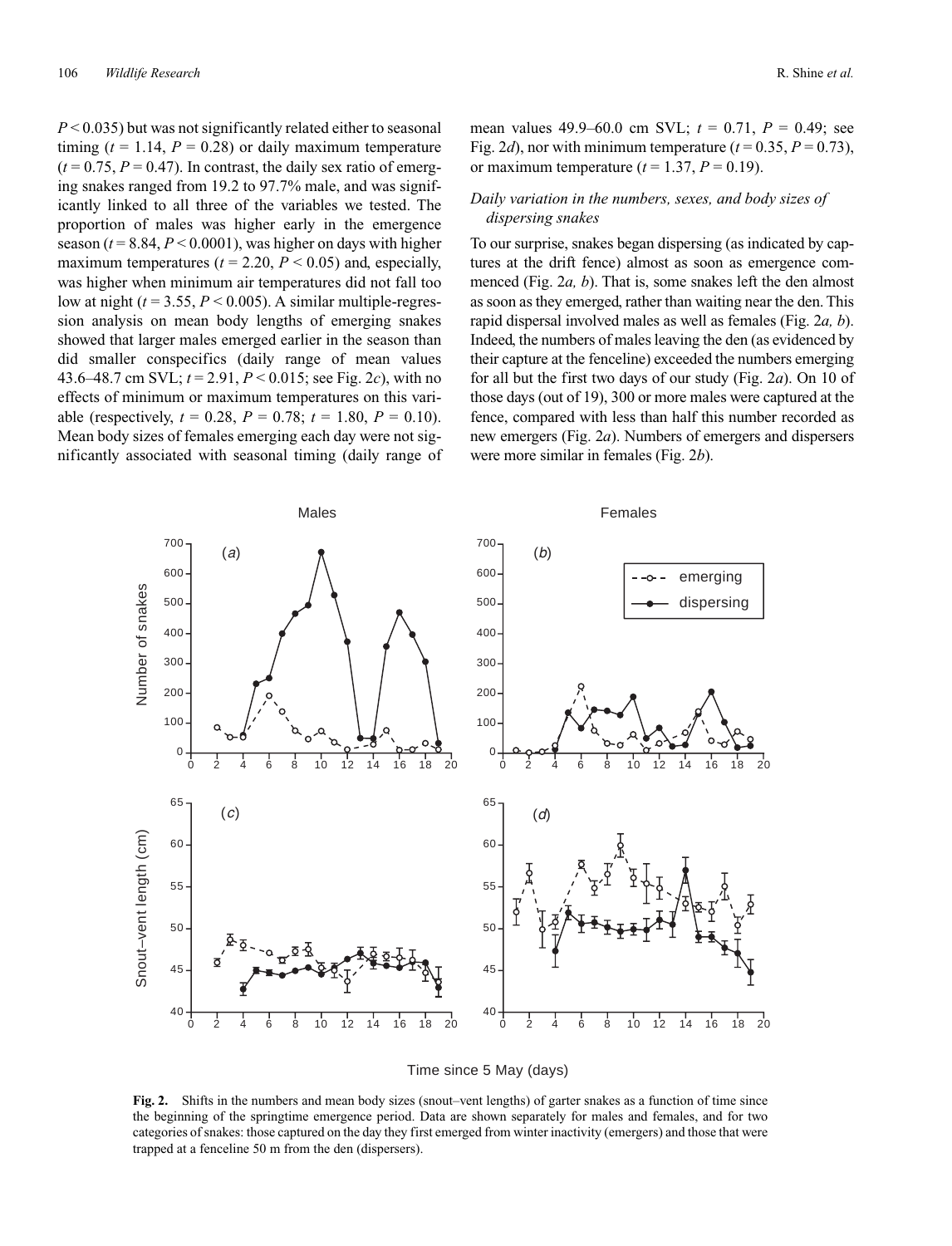*P* < 0.035) but was not significantly related either to seasonal timing  $(t = 1.14, P = 0.28)$  or daily maximum temperature  $(t = 0.75, P = 0.47)$ . In contrast, the daily sex ratio of emerging snakes ranged from 19.2 to 97.7% male, and was significantly linked to all three of the variables we tested. The proportion of males was higher early in the emergence season  $(t = 8.84, P < 0.0001)$ , was higher on days with higher maximum temperatures ( $t = 2.20$ ,  $P < 0.05$ ) and, especially, was higher when minimum air temperatures did not fall too low at night  $(t = 3.55, P \le 0.005)$ . A similar multiple-regression analysis on mean body lengths of emerging snakes showed that larger males emerged earlier in the season than did smaller conspecifics (daily range of mean values 43.6–48.7 cm SVL; *t* = 2.91, *P* < 0.015; see Fig. 2*c*), with no effects of minimum or maximum temperatures on this variable (respectively,  $t = 0.28$ ,  $P = 0.78$ ;  $t = 1.80$ ,  $P = 0.10$ ). Mean body sizes of females emerging each day were not significantly associated with seasonal timing (daily range of mean values 49.9–60.0 cm SVL; *t* = 0.71, *P* = 0.49; see Fig. 2*d*), nor with minimum temperature  $(t = 0.35, P = 0.73)$ , or maximum temperature  $(t = 1.37, P = 0.19)$ .

# *Daily variation in the numbers, sexes, and body sizes of dispersing snakes*

To our surprise, snakes began dispersing (as indicated by captures at the drift fence) almost as soon as emergence commenced (Fig. 2*a, b*). That is, some snakes left the den almost as soon as they emerged, rather than waiting near the den. This rapid dispersal involved males as well as females (Fig. 2*a, b*). Indeed, the numbers of males leaving the den (as evidenced by their capture at the fenceline) exceeded the numbers emerging for all but the first two days of our study (Fig. 2*a*). On 10 of those days (out of 19), 300 or more males were captured at the fence, compared with less than half this number recorded as new emergers (Fig. 2*a*). Numbers of emergers and dispersers were more similar in females (Fig. 2*b*).





**Fig. 2.** Shifts in the numbers and mean body sizes (snout–vent lengths) of garter snakes as a function of time since the beginning of the springtime emergence period. Data are shown separately for males and females, and for two categories of snakes: those captured on the day they first emerged from winter inactivity (emergers) and those that were trapped at a fenceline 50 m from the den (dispersers).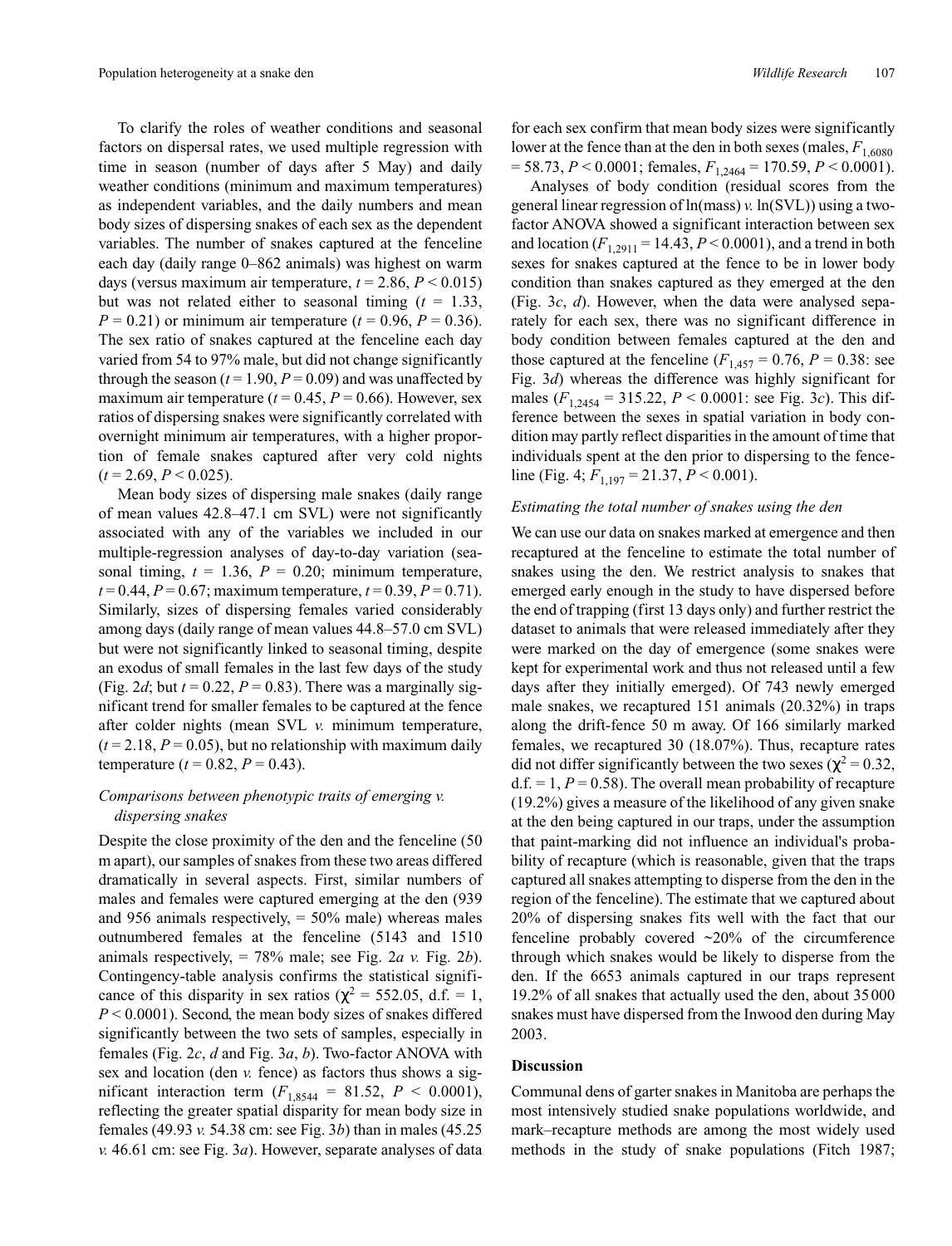To clarify the roles of weather conditions and seasonal factors on dispersal rates, we used multiple regression with time in season (number of days after 5 May) and daily weather conditions (minimum and maximum temperatures) as independent variables, and the daily numbers and mean body sizes of dispersing snakes of each sex as the dependent variables. The number of snakes captured at the fenceline each day (daily range 0–862 animals) was highest on warm days (versus maximum air temperature,  $t = 2.86$ ,  $P < 0.015$ ) but was not related either to seasonal timing  $(t = 1.33)$ , *P* = 0.21) or minimum air temperature ( $t$  = 0.96, *P* = 0.36). The sex ratio of snakes captured at the fenceline each day varied from 54 to 97% male, but did not change significantly through the season  $(t = 1.90, P = 0.09)$  and was unaffected by maximum air temperature  $(t = 0.45, P = 0.66)$ . However, sex ratios of dispersing snakes were significantly correlated with overnight minimum air temperatures, with a higher proportion of female snakes captured after very cold nights  $(t = 2.69, P < 0.025)$ .

Mean body sizes of dispersing male snakes (daily range of mean values 42.8–47.1 cm SVL) were not significantly associated with any of the variables we included in our multiple-regression analyses of day-to-day variation (seasonal timing,  $t = 1.36$ ,  $P = 0.20$ ; minimum temperature,  $t = 0.44$ ,  $P = 0.67$ ; maximum temperature,  $t = 0.39$ ,  $P = 0.71$ ). Similarly, sizes of dispersing females varied considerably among days (daily range of mean values 44.8–57.0 cm SVL) but were not significantly linked to seasonal timing, despite an exodus of small females in the last few days of the study (Fig. 2*d*; but  $t = 0.22$ ,  $P = 0.83$ ). There was a marginally significant trend for smaller females to be captured at the fence after colder nights (mean SVL *v.* minimum temperature,  $(t = 2.18, P = 0.05)$ , but no relationship with maximum daily temperature  $(t = 0.82, P = 0.43)$ .

# *Comparisons between phenotypic traits of emerging v. dispersing snakes*

Despite the close proximity of the den and the fenceline (50 m apart), our samples of snakes from these two areas differed dramatically in several aspects. First, similar numbers of males and females were captured emerging at the den (939 and 956 animals respectively,  $=$  50% male) whereas males outnumbered females at the fenceline (5143 and 1510 animals respectively, = 78% male; see Fig. 2*a v.* Fig. 2*b*). Contingency-table analysis confirms the statistical significance of this disparity in sex ratios ( $\chi^2$  = 552.05, d.f. = 1, *P* < 0.0001). Second, the mean body sizes of snakes differed significantly between the two sets of samples, especially in females (Fig. 2*c*, *d* and Fig. 3*a*, *b*). Two-factor ANOVA with sex and location (den *v.* fence) as factors thus shows a significant interaction term  $(F_{1,8544} = 81.52, P < 0.0001)$ , reflecting the greater spatial disparity for mean body size in females (49.93 *v.* 54.38 cm: see Fig. 3*b*) than in males (45.25 *v.* 46.61 cm: see Fig. 3*a*). However, separate analyses of data

for each sex confirm that mean body sizes were significantly lower at the fence than at the den in both sexes (males,  $F_{1,6080}$ )  $= 58.73, P < 0.0001$ ; females,  $F_{1,2464} = 170.59, P < 0.0001$ ).

Analyses of body condition (residual scores from the general linear regression of ln(mass) *v.* ln(SVL)) using a twofactor ANOVA showed a significant interaction between sex and location  $(F_{1,2911} = 14.43, P \le 0.0001)$ , and a trend in both sexes for snakes captured at the fence to be in lower body condition than snakes captured as they emerged at the den (Fig. 3*c*, *d*). However, when the data were analysed separately for each sex, there was no significant difference in body condition between females captured at the den and those captured at the fenceline  $(F_{1,457} = 0.76, P = 0.38$ : see Fig. 3*d*) whereas the difference was highly significant for males (*F*1,2454 = 315.22, *P* < 0.0001: see Fig. 3*c*). This difference between the sexes in spatial variation in body condition may partly reflect disparities in the amount of time that individuals spent at the den prior to dispersing to the fenceline (Fig. 4;  $F_{1,197} = 21.37, P \le 0.001$ ).

#### *Estimating the total number of snakes using the den*

We can use our data on snakes marked at emergence and then recaptured at the fenceline to estimate the total number of snakes using the den. We restrict analysis to snakes that emerged early enough in the study to have dispersed before the end of trapping (first 13 days only) and further restrict the dataset to animals that were released immediately after they were marked on the day of emergence (some snakes were kept for experimental work and thus not released until a few days after they initially emerged). Of 743 newly emerged male snakes, we recaptured 151 animals (20.32%) in traps along the drift-fence 50 m away. Of 166 similarly marked females, we recaptured 30 (18.07%). Thus, recapture rates did not differ significantly between the two sexes ( $\chi^2$  = 0.32,  $d.f. = 1, P = 0.58$ . The overall mean probability of recapture (19.2%) gives a measure of the likelihood of any given snake at the den being captured in our traps, under the assumption that paint-marking did not influence an individual's probability of recapture (which is reasonable, given that the traps captured all snakes attempting to disperse from the den in the region of the fenceline). The estimate that we captured about 20% of dispersing snakes fits well with the fact that our fenceline probably covered  $\sim$ 20% of the circumference through which snakes would be likely to disperse from the den. If the 6653 animals captured in our traps represent 19.2% of all snakes that actually used the den, about 35000 snakes must have dispersed from the Inwood den during May 2003.

## **Discussion**

Communal dens of garter snakes in Manitoba are perhaps the most intensively studied snake populations worldwide, and mark–recapture methods are among the most widely used methods in the study of snake populations (Fitch 1987;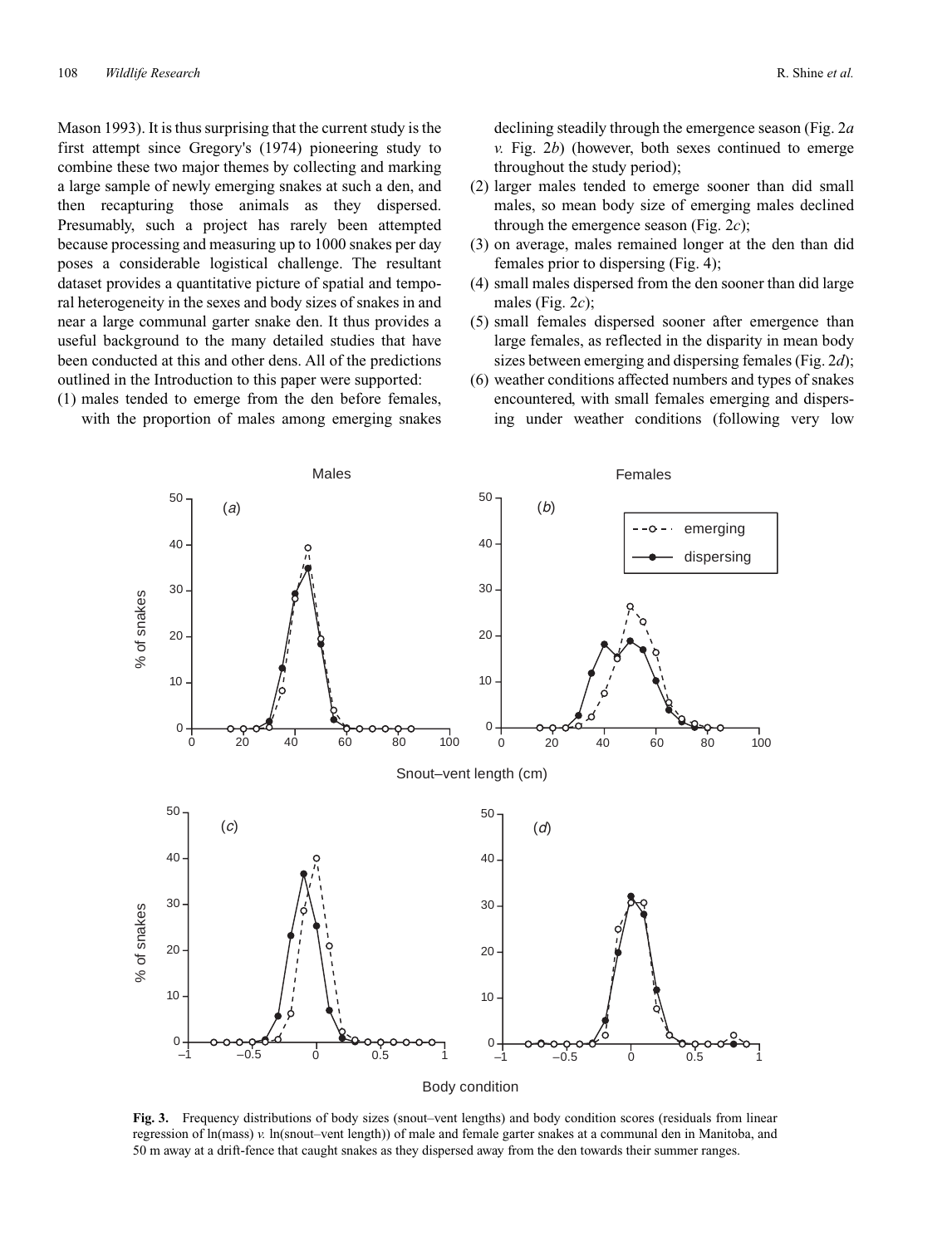Mason 1993). It is thus surprising that the current study is the first attempt since Gregory's (1974) pioneering study to combine these two major themes by collecting and marking a large sample of newly emerging snakes at such a den, and then recapturing those animals as they dispersed. Presumably, such a project has rarely been attempted because processing and measuring up to 1000 snakes per day poses a considerable logistical challenge. The resultant dataset provides a quantitative picture of spatial and temporal heterogeneity in the sexes and body sizes of snakes in and near a large communal garter snake den. It thus provides a useful background to the many detailed studies that have been conducted at this and other dens. All of the predictions outlined in the Introduction to this paper were supported:

(1) males tended to emerge from the den before females, with the proportion of males among emerging snakes declining steadily through the emergence season (Fig. 2*a v.* Fig. 2*b*) (however, both sexes continued to emerge throughout the study period);

- (2) larger males tended to emerge sooner than did small males, so mean body size of emerging males declined through the emergence season (Fig. 2*c*);
- (3) on average, males remained longer at the den than did females prior to dispersing (Fig. 4);
- (4) small males dispersed from the den sooner than did large males (Fig. 2*c*);
- (5) small females dispersed sooner after emergence than large females, as reflected in the disparity in mean body sizes between emerging and dispersing females (Fig. 2*d*);
- (6) weather conditions affected numbers and types of snakes encountered, with small females emerging and dispersing under weather conditions (following very low



**Fig. 3.** Frequency distributions of body sizes (snout–vent lengths) and body condition scores (residuals from linear regression of ln(mass) *v.* ln(snout–vent length)) of male and female garter snakes at a communal den in Manitoba, and 50 m away at a drift-fence that caught snakes as they dispersed away from the den towards their summer ranges.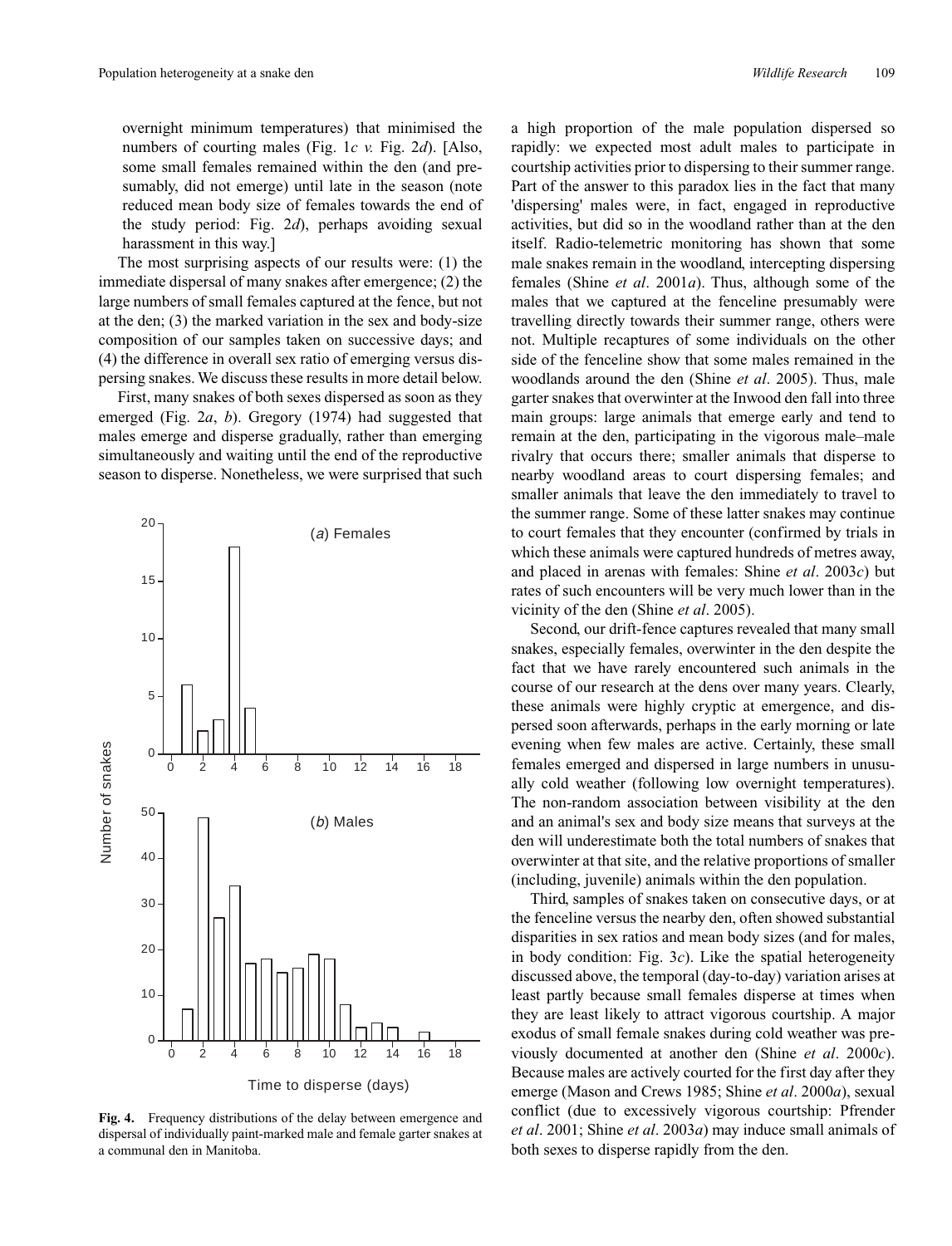overnight minimum temperatures) that minimised the numbers of courting males (Fig. 1*c v.* Fig. 2*d*). [Also, some small females remained within the den (and presumably, did not emerge) until late in the season (note reduced mean body size of females towards the end of the study period: Fig. 2*d*), perhaps avoiding sexual harassment in this way.]

The most surprising aspects of our results were: (1) the immediate dispersal of many snakes after emergence; (2) the large numbers of small females captured at the fence, but not at the den; (3) the marked variation in the sex and body-size composition of our samples taken on successive days; and (4) the difference in overall sex ratio of emerging versus dispersing snakes. We discuss these results in more detail below.

First, many snakes of both sexes dispersed as soon as they emerged (Fig. 2*a*, *b*). Gregory (1974) had suggested that males emerge and disperse gradually, rather than emerging simultaneously and waiting until the end of the reproductive season to disperse. Nonetheless, we were surprised that such



**Fig. 4.** Frequency distributions of the delay between emergence and dispersal of individually paint-marked male and female garter snakes at a communal den in Manitoba.

a high proportion of the male population dispersed so rapidly: we expected most adult males to participate in courtship activities prior to dispersing to their summer range. Part of the answer to this paradox lies in the fact that many 'dispersing' males were, in fact, engaged in reproductive activities, but did so in the woodland rather than at the den itself. Radio-telemetric monitoring has shown that some male snakes remain in the woodland, intercepting dispersing females (Shine *et al*. 2001*a*). Thus, although some of the males that we captured at the fenceline presumably were travelling directly towards their summer range, others were not. Multiple recaptures of some individuals on the other side of the fenceline show that some males remained in the woodlands around the den (Shine *et al*. 2005). Thus, male garter snakes that overwinter at the Inwood den fall into three main groups: large animals that emerge early and tend to remain at the den, participating in the vigorous male–male rivalry that occurs there; smaller animals that disperse to nearby woodland areas to court dispersing females; and smaller animals that leave the den immediately to travel to the summer range. Some of these latter snakes may continue to court females that they encounter (confirmed by trials in which these animals were captured hundreds of metres away, and placed in arenas with females: Shine *et al*. 2003*c*) but rates of such encounters will be very much lower than in the vicinity of the den (Shine *et al*. 2005).

Second, our drift-fence captures revealed that many small snakes, especially females, overwinter in the den despite the fact that we have rarely encountered such animals in the course of our research at the dens over many years. Clearly, these animals were highly cryptic at emergence, and dispersed soon afterwards, perhaps in the early morning or late evening when few males are active. Certainly, these small females emerged and dispersed in large numbers in unusually cold weather (following low overnight temperatures). The non-random association between visibility at the den and an animal's sex and body size means that surveys at the den will underestimate both the total numbers of snakes that overwinter at that site, and the relative proportions of smaller (including, juvenile) animals within the den population.

Third, samples of snakes taken on consecutive days, or at the fenceline versus the nearby den, often showed substantial disparities in sex ratios and mean body sizes (and for males, in body condition: Fig. 3*c*). Like the spatial heterogeneity discussed above, the temporal (day-to-day) variation arises at least partly because small females disperse at times when they are least likely to attract vigorous courtship. A major exodus of small female snakes during cold weather was previously documented at another den (Shine *et al*. 2000*c*). Because males are actively courted for the first day after they emerge (Mason and Crews 1985; Shine *et al*. 2000*a*), sexual conflict (due to excessively vigorous courtship: Pfrender *et al*. 2001; Shine *et al*. 2003*a*) may induce small animals of both sexes to disperse rapidly from the den.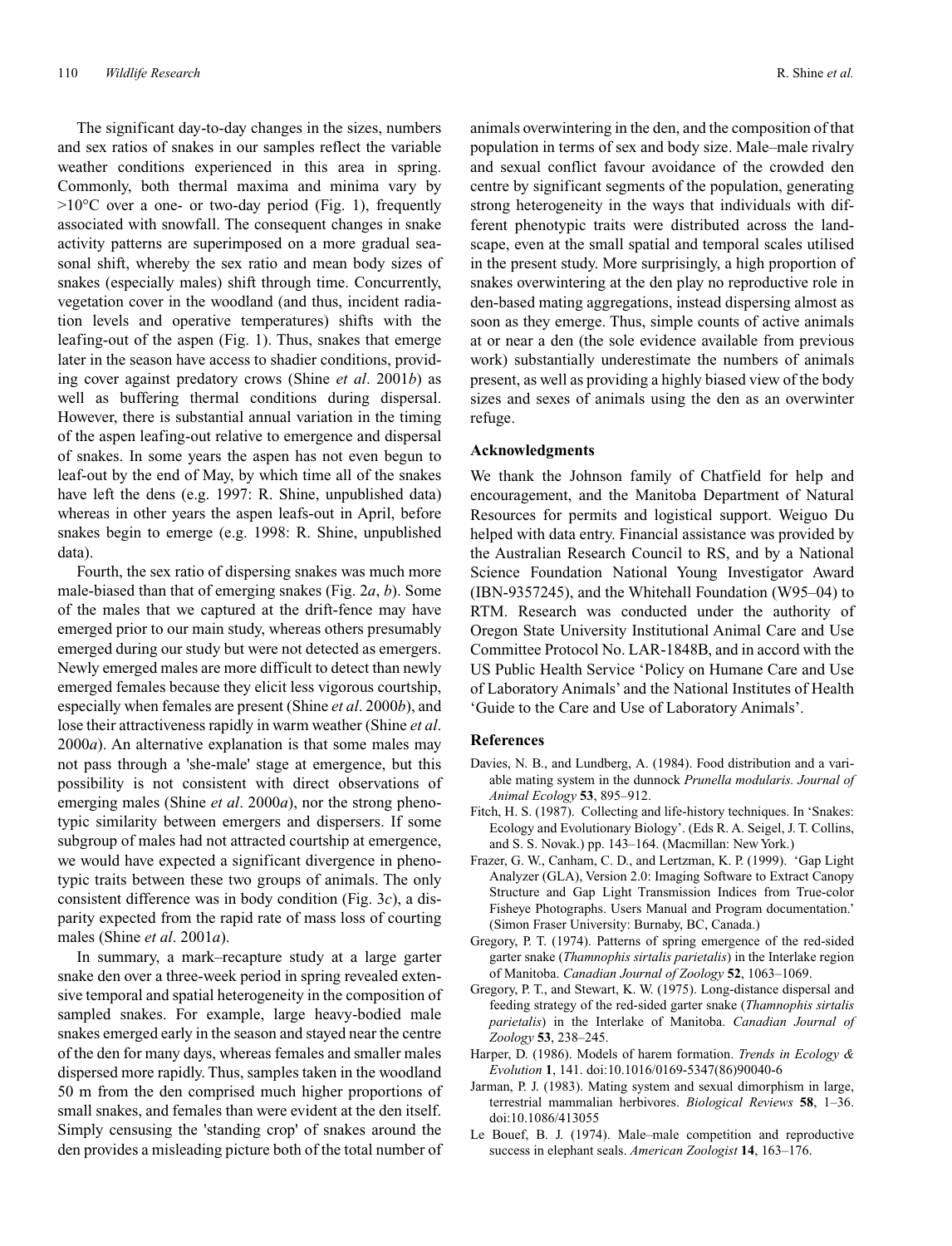The significant day-to-day changes in the sizes, numbers and sex ratios of snakes in our samples reflect the variable weather conditions experienced in this area in spring. Commonly, both thermal maxima and minima vary by  $>10^{\circ}$ C over a one- or two-day period (Fig. 1), frequently associated with snowfall. The consequent changes in snake activity patterns are superimposed on a more gradual seasonal shift, whereby the sex ratio and mean body sizes of snakes (especially males) shift through time. Concurrently, vegetation cover in the woodland (and thus, incident radiation levels and operative temperatures) shifts with the leafing-out of the aspen (Fig. 1). Thus, snakes that emerge later in the season have access to shadier conditions, providing cover against predatory crows (Shine *et al*. 2001*b*) as well as buffering thermal conditions during dispersal. However, there is substantial annual variation in the timing of the aspen leafing-out relative to emergence and dispersal of snakes. In some years the aspen has not even begun to leaf-out by the end of May, by which time all of the snakes have left the dens (e.g. 1997: R. Shine, unpublished data) whereas in other years the aspen leafs-out in April, before snakes begin to emerge (e.g. 1998: R. Shine, unpublished data).

Fourth, the sex ratio of dispersing snakes was much more male-biased than that of emerging snakes (Fig. 2*a*, *b*). Some of the males that we captured at the drift-fence may have emerged prior to our main study, whereas others presumably emerged during our study but were not detected as emergers. Newly emerged males are more difficult to detect than newly emerged females because they elicit less vigorous courtship, especially when females are present (Shine *et al*. 2000*b*), and lose their attractiveness rapidly in warm weather (Shine *et al*. 2000*a*). An alternative explanation is that some males may not pass through a 'she-male' stage at emergence, but this possibility is not consistent with direct observations of emerging males (Shine *et al*. 2000*a*), nor the strong phenotypic similarity between emergers and dispersers. If some subgroup of males had not attracted courtship at emergence, we would have expected a significant divergence in phenotypic traits between these two groups of animals. The only consistent difference was in body condition (Fig. 3*c*), a disparity expected from the rapid rate of mass loss of courting males (Shine *et al*. 2001*a*).

In summary, a mark–recapture study at a large garter snake den over a three-week period in spring revealed extensive temporal and spatial heterogeneity in the composition of sampled snakes. For example, large heavy-bodied male snakes emerged early in the season and stayed near the centre of the den for many days, whereas females and smaller males dispersed more rapidly. Thus, samples taken in the woodland 50 m from the den comprised much higher proportions of small snakes, and females than were evident at the den itself. Simply censusing the 'standing crop' of snakes around the den provides a misleading picture both of the total number of animals overwintering in the den, and the composition of that population in terms of sex and body size. Male–male rivalry and sexual conflict favour avoidance of the crowded den centre by significant segments of the population, generating strong heterogeneity in the ways that individuals with different phenotypic traits were distributed across the landscape, even at the small spatial and temporal scales utilised in the present study. More surprisingly, a high proportion of snakes overwintering at the den play no reproductive role in den-based mating aggregations, instead dispersing almost as soon as they emerge. Thus, simple counts of active animals at or near a den (the sole evidence available from previous work) substantially underestimate the numbers of animals present, as well as providing a highly biased view of the body sizes and sexes of animals using the den as an overwinter refuge.

## **Acknowledgments**

We thank the Johnson family of Chatfield for help and encouragement, and the Manitoba Department of Natural Resources for permits and logistical support. Weiguo Du helped with data entry. Financial assistance was provided by the Australian Research Council to RS, and by a National Science Foundation National Young Investigator Award (IBN-9357245), and the Whitehall Foundation (W95–04) to RTM. Research was conducted under the authority of Oregon State University Institutional Animal Care and Use Committee Protocol No. LAR-1848B, and in accord with the US Public Health Service 'Policy on Humane Care and Use of Laboratory Animals' and the National Institutes of Health 'Guide to the Care and Use of Laboratory Animals'.

## **References**

- Davies, N. B., and Lundberg, A. (1984). Food distribution and a variable mating system in the dunnock *Prunella modularis. Journal of Animal Ecology* **53**, 895–912.
- Fitch, H. S. (1987). Collecting and life-history techniques. In 'Snakes: Ecology and Evolutionary Biology'. (Eds R. A. Seigel, J. T. Collins, and S. S. Novak.) pp. 143–164. (Macmillan: New York.)
- Frazer, G. W., Canham, C. D., and Lertzman, K. P. (1999). 'Gap Light Analyzer (GLA), Version 2.0: Imaging Software to Extract Canopy Structure and Gap Light Transmission Indices from True-color Fisheye Photographs. Users Manual and Program documentation.' (Simon Fraser University: Burnaby, BC, Canada.)
- Gregory, P. T. (1974). Patterns of spring emergence of the red-sided garter snake (*Thamnophis sirtalis parietalis*) in the Interlake region of Manitoba. *Canadian Journal of Zoology* **52**, 1063–1069.
- Gregory, P. T., and Stewart, K. W. (1975). Long-distance dispersal and feeding strategy of the red-sided garter snake (*Thamnophis sirtalis parietalis*) in the Interlake of Manitoba. *Canadian Journal of Zoology* **53**, 238–245.
- Harper, D. (1986). Models of harem formation. *Trends in Ecology & Evolution* **1**, 141. doi:10.1016/0169-5347(86)90040-6
- Jarman, P. J. (1983). Mating system and sexual dimorphism in large, terrestrial mammalian herbivores. *Biological Reviews* **58**, 1–36. doi:10.1086/413055
- Le Bouef, B. J. (1974). Male–male competition and reproductive success in elephant seals. *American Zoologist* **14**, 163–176.